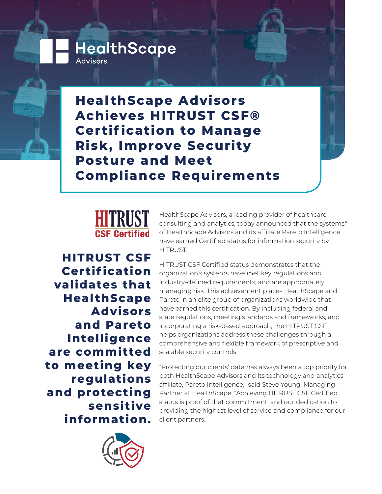**Heal thScape Advisors Achieves HITRUST CSF® Certif ication to Manage Risk, Improve Security Posture and Meet Compliance Requirements**



**HealthScape** 

Advisors

**HITRUST CSF Certif ication validates that Heal thScape Advisors and Pareto Intelligence are committed to meeting key regulations and protecting sensitive information.**



HealthScape Advisors, a leading provider of healthcare consulting and analytics, today announced that the systems\* of HealthScape Advisors and its affiliate Pareto Intelligence have earned Certified status for information security by HITRUST.

HITRUST CSF Certified status demonstrates that the organization's systems have met key regulations and industry-defined requirements, and are appropriately managing risk. This achievement places HealthScape and Pareto in an elite group of organizations worldwide that have earned this certification. By including federal and state regulations, meeting standards and frameworks, and incorporating a risk-based approach, the HITRUST CSF helps organizations address these challenges through a comprehensive and flexible framework of prescriptive and scalable security controls.

"Protecting our clients' data has always been a top priority for both HealthScape Advisors and its technology and analytics affiliate, Pareto Intelligence," said Steve Young, Managing Partner at HealthScape. "Achieving HITRUST CSF Certified status is proof of that commitment, and our dedication to providing the highest level of service and compliance for our client partners."